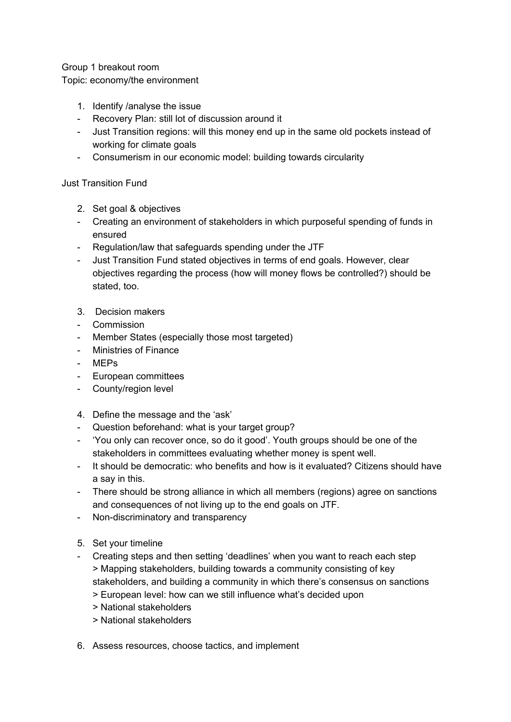Group 1 breakout room Topic: economy/the environment

- 1. Identify /analyse the issue
- Recovery Plan: still lot of discussion around it
- Just Transition regions: will this money end up in the same old pockets instead of working for climate goals
- Consumerism in our economic model: building towards circularity

Just Transition Fund

- 2. Set goal & objectives
- Creating an environment of stakeholders in which purposeful spending of funds in ensured
- Regulation/law that safeguards spending under the JTF
- Just Transition Fund stated objectives in terms of end goals. However, clear objectives regarding the process (how will money flows be controlled?) should be stated, too.
- 3. Decision makers
- Commission
- Member States (especially those most targeted)
- Ministries of Finance
- MEPs
- European committees
- County/region level
- 4. Define the message and the 'ask'
- Question beforehand: what is your target group?
- 'You only can recover once, so do it good'. Youth groups should be one of the stakeholders in committees evaluating whether money is spent well.
- It should be democratic: who benefits and how is it evaluated? Citizens should have a say in this.
- There should be strong alliance in which all members (regions) agree on sanctions and consequences of not living up to the end goals on JTF.
- Non-discriminatory and transparency
- 5. Set your timeline
- Creating steps and then setting 'deadlines' when you want to reach each step > Mapping stakeholders, building towards a community consisting of key stakeholders, and building a community in which there's consensus on sanctions
	- > European level: how can we still influence what's decided upon
	- > National stakeholders
	- > National stakeholders
- 6. Assess resources, choose tactics, and implement